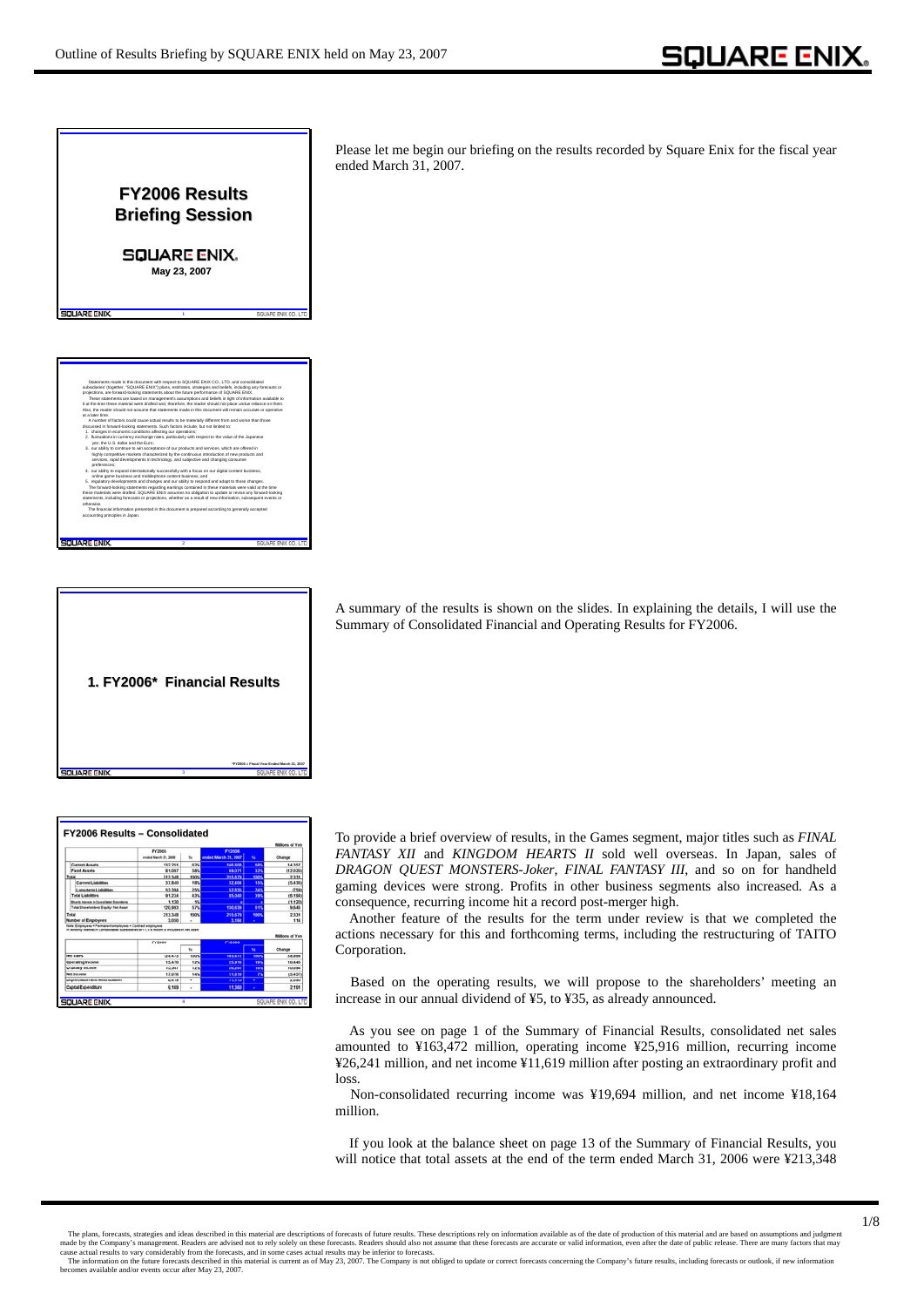Please let me begin our briefing on the results recorded by Square Enix for the fiscal year ended March 31, 2007. **FY2006 Results FY2006 Results Briefing Session Briefing Session** SQUARE ENIX. **May 23, 2007 May 23, 2007** Statements made in this document with respect to SQUARE ENIX CO., LTD. and consolidated subsidiaries' (together, "SQUARE ENIX") plans, estimates, strategies and beliefs, including any forecasts or projections, are forward-looking statements about the future performance of SQUARE ENIX. These statements are based on management's assumptions and beliefs in light of information available to it at the time these material were drafted and, therefore, the reader should not place undue reliance on them. Also, the reader should not assume that statements made in this document will remain accurate or operative at a later time. A number of factors could cause actual results to be materially different from and worse than those discussed in forward-looking statements. Such factors include, but not limited to: 1. changes in economic conditions affecting our operations; 2. fluctuations in currency exchange rates, particularly with respect to the value of the Japanese yen, the U.S. dollar and the Euro; 3. our ability to continue to win acceptance of our products and services, which are offered in highly competitive markets characterized by the continuous introduction of new products and services, rapid developments in technology, and subjective and changing consumer preferences; 4. our ability to expand internationally successfully with a focus on our digital content business, online game business and mobilephone content business; and 5. regulatory developments and changes and our ability to respond and adapt to those changes. The forward-looking statements regarding earnings contained in these materials were valid at the time these materials were drafted. SQUARE ENIX assumes no obligation to update or revise any forward-looking statements, including forecasts or projections, whether as a result of new information, subsequent events or otherwise. The financial information presented in this document is prepared according to generally accepted accounting principles in Japan. **NIJA PRI RNIV** 



A summary of the results is shown on the slides. In explaining the details, I will use the Summary of Consolidated Financial and Operating Results for FY2006.

|                                                                                                                  |                      |             |                      |             | Millions of Yes |
|------------------------------------------------------------------------------------------------------------------|----------------------|-------------|----------------------|-------------|-----------------|
|                                                                                                                  | EY3005               |             | <b>EV2006</b>        |             |                 |
|                                                                                                                  | anded March 31, 3006 | w           | ended March 31, 2007 | u           | Change          |
| <b>Current Assets</b>                                                                                            | 132,251              | 62%         | 144,808              | <b>SES</b>  | 14,357          |
| <b>Fixed Assets</b>                                                                                              | <b>R1.097</b>        | 38%         | 89.071               | 325         | (12,026)        |
| Total                                                                                                            | 213,348              | 100%        | 215.679              | <b>LOOK</b> | 2,331           |
| <b>Current Liabilities</b>                                                                                       | 37,840               | <b>13%</b>  | 32,404               | 15%         | (5.436)         |
| Long-term Liabilities                                                                                            | 53,394               | 25%         | 52.635               | 245         | (754)           |
| Total Liabilities                                                                                                | 01.234               | <b>AVA</b>  | 85.040               | <b>SIM</b>  | (6,194)         |
| <b>Mountle Internals to Formatisipal Robertheles</b>                                                             | 9.420                | <b>SN</b>   |                      |             | (1.120)         |
| Total Shareholders' Equity / Not Asset                                                                           | 120,093              | 67%         | 130,638              | 415         | 9,646           |
| Total                                                                                                            | 213,348              | <b>KOON</b> | 215, 579             | 5005        | 2,331           |
| Number of Employees                                                                                              | 3,050                | ٠           | 3.164                |             | 115             |
| III Minority interest in Consolidated Subsidiaries of £1.178 million is included in Net Asset                    | <b>FY2005</b>        |             | <b>Fy2006</b>        |             | Millions of Yen |
|                                                                                                                  |                      | u           |                      | w           | Change          |
|                                                                                                                  |                      | 100%        | 163.472              | sain        | 38,999          |
|                                                                                                                  | 124,473              |             | 25.958               | 167         | 10,446          |
|                                                                                                                  | 15,470               | 12%         |                      |             | 10,694          |
|                                                                                                                  | 15,547               | 12%         | 26.241               | 16N         |                 |
|                                                                                                                  | 17,076               | 14%         | 11.619               | 'n          | 15.457          |
| <b>Hert States</b><br>Operating Income<br>Ordinary Income<br><b>Net Income</b><br>Depreciation and Amortization- | 8.419                | ۰           | 11.115               | ٠           | 7,696           |

To provide a brief overview of results, in the Games segment, major titles such as *FINAL FANTASY XII* and *KINGDOM HEARTS II* sold well overseas. In Japan, sales of *DRAGON QUEST MONSTERS-Joker*, *FINAL FANTASY III*, and so on for handheld gaming devices were strong. Profits in other business segments also increased. As a consequence, recurring income hit a record post-merger high.

Another feature of the results for the term under review is that we completed the actions necessary for this and forthcoming terms, including the restructuring of TAITO Corporation.

Based on the operating results, we will propose to the shareholders' meeting an increase in our annual dividend of ¥5, to ¥35, as already announced.

As you see on page 1 of the Summary of Financial Results, consolidated net sales amounted to ¥163,472 million, operating income ¥25,916 million, recurring income ¥26,241 million, and net income ¥11,619 million after posting an extraordinary profit and loss.

Non-consolidated recurring income was ¥19,694 million, and net income ¥18,164 million.

If you look at the balance sheet on page 13 of the Summary of Financial Results, you will notice that total assets at the end of the term ended March 31, 2006 were ¥213,348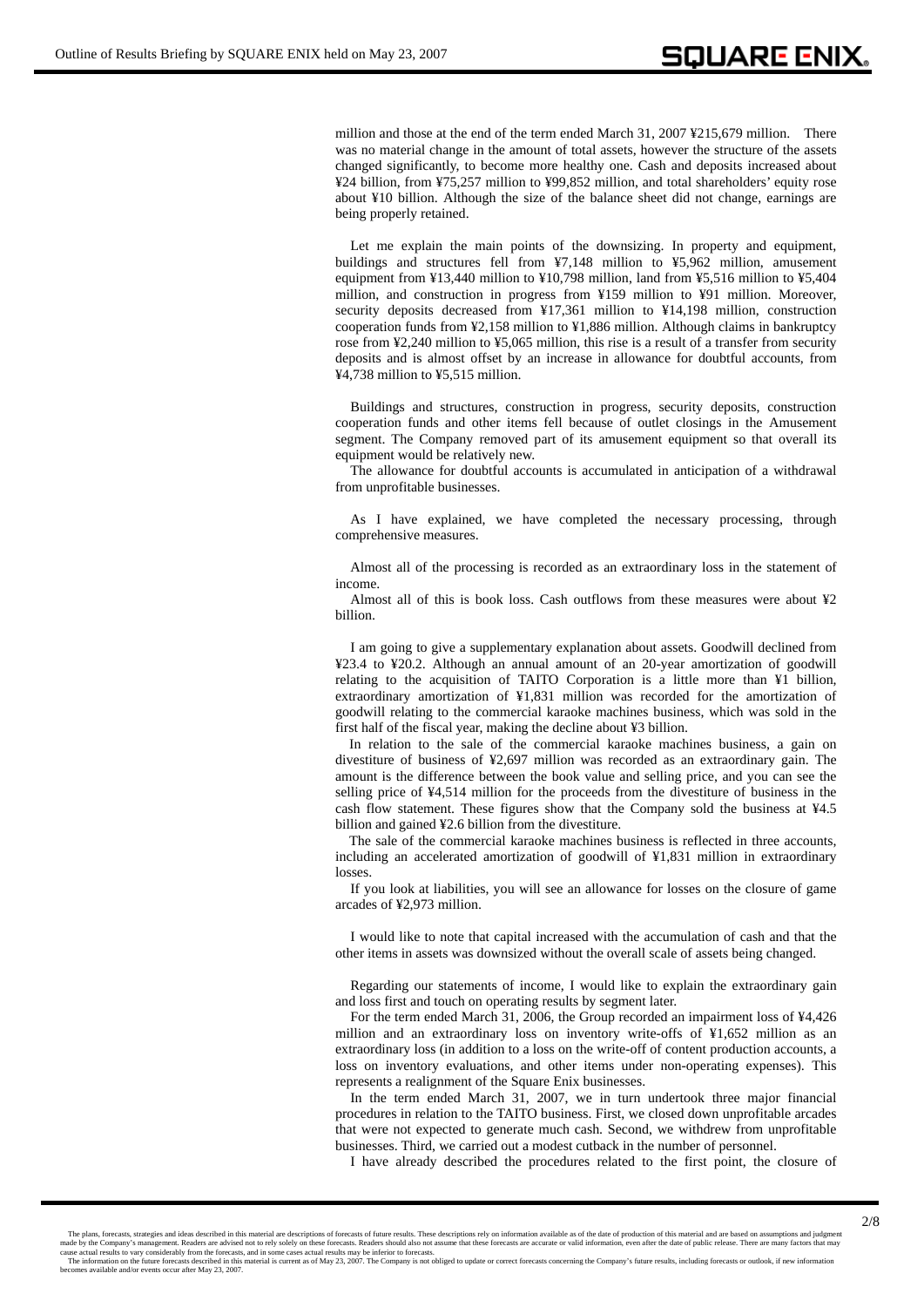million and those at the end of the term ended March 31, 2007 ¥215,679 million. There was no material change in the amount of total assets, however the structure of the assets changed significantly, to become more healthy one. Cash and deposits increased about ¥24 billion, from ¥75,257 million to ¥99,852 million, and total shareholders' equity rose about ¥10 billion. Although the size of the balance sheet did not change, earnings are being properly retained.

Let me explain the main points of the downsizing. In property and equipment, buildings and structures fell from ¥7,148 million to ¥5,962 million, amusement equipment from ¥13,440 million to ¥10,798 million, land from ¥5,516 million to ¥5,404 million, and construction in progress from ¥159 million to ¥91 million. Moreover, security deposits decreased from ¥17,361 million to ¥14,198 million, construction cooperation funds from ¥2,158 million to ¥1,886 million. Although claims in bankruptcy rose from ¥2,240 million to ¥5,065 million, this rise is a result of a transfer from security deposits and is almost offset by an increase in allowance for doubtful accounts, from ¥4,738 million to ¥5,515 million.

Buildings and structures, construction in progress, security deposits, construction cooperation funds and other items fell because of outlet closings in the Amusement segment. The Company removed part of its amusement equipment so that overall its equipment would be relatively new.

The allowance for doubtful accounts is accumulated in anticipation of a withdrawal from unprofitable businesses.

As I have explained, we have completed the necessary processing, through comprehensive measures.

Almost all of the processing is recorded as an extraordinary loss in the statement of income.

Almost all of this is book loss. Cash outflows from these measures were about ¥2 billion.

I am going to give a supplementary explanation about assets. Goodwill declined from ¥23.4 to ¥20.2. Although an annual amount of an 20-year amortization of goodwill relating to the acquisition of TAITO Corporation is a little more than ¥1 billion, extraordinary amortization of ¥1,831 million was recorded for the amortization of goodwill relating to the commercial karaoke machines business, which was sold in the first half of the fiscal year, making the decline about ¥3 billion.

In relation to the sale of the commercial karaoke machines business, a gain on divestiture of business of ¥2,697 million was recorded as an extraordinary gain. The amount is the difference between the book value and selling price, and you can see the selling price of ¥4,514 million for the proceeds from the divestiture of business in the cash flow statement. These figures show that the Company sold the business at ¥4.5 billion and gained ¥2.6 billion from the divestiture.

The sale of the commercial karaoke machines business is reflected in three accounts, including an accelerated amortization of goodwill of ¥1,831 million in extraordinary losses.

If you look at liabilities, you will see an allowance for losses on the closure of game arcades of ¥2,973 million.

I would like to note that capital increased with the accumulation of cash and that the other items in assets was downsized without the overall scale of assets being changed.

Regarding our statements of income, I would like to explain the extraordinary gain and loss first and touch on operating results by segment later.

For the term ended March 31, 2006, the Group recorded an impairment loss of ¥4,426 million and an extraordinary loss on inventory write-offs of ¥1,652 million as an extraordinary loss (in addition to a loss on the write-off of content production accounts, a loss on inventory evaluations, and other items under non-operating expenses). This represents a realignment of the Square Enix businesses.

In the term ended March 31, 2007, we in turn undertook three major financial procedures in relation to the TAITO business. First, we closed down unprofitable arcades that were not expected to generate much cash. Second, we withdrew from unprofitable businesses. Third, we carried out a modest cutback in the number of personnel.

I have already described the procedures related to the first point, the closure of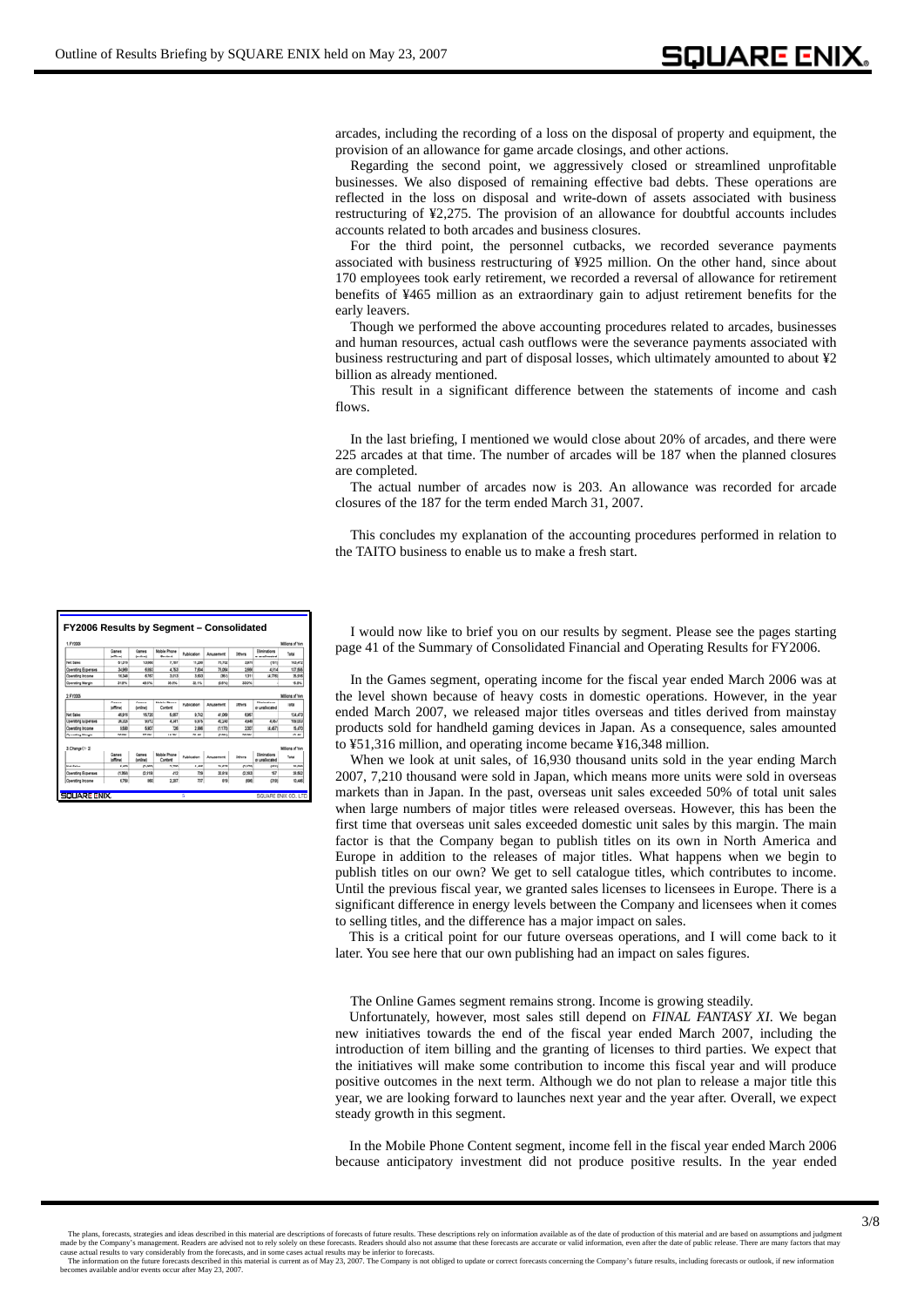arcades, including the recording of a loss on the disposal of property and equipment, the provision of an allowance for game arcade closings, and other actions.

Regarding the second point, we aggressively closed or streamlined unprofitable businesses. We also disposed of remaining effective bad debts. These operations are reflected in the loss on disposal and write-down of assets associated with business restructuring of ¥2,275. The provision of an allowance for doubtful accounts includes accounts related to both arcades and business closures.

For the third point, the personnel cutbacks, we recorded severance payments associated with business restructuring of ¥925 million. On the other hand, since about 170 employees took early retirement, we recorded a reversal of allowance for retirement benefits of ¥465 million as an extraordinary gain to adjust retirement benefits for the early leavers.

Though we performed the above accounting procedures related to arcades, businesses and human resources, actual cash outflows were the severance payments associated with business restructuring and part of disposal losses, which ultimately amounted to about ¥2 billion as already mentioned.

This result in a significant difference between the statements of income and cash flows.

In the last briefing, I mentioned we would close about 20% of arcades, and there were 225 arcades at that time. The number of arcades will be 187 when the planned closures are completed.

The actual number of arcades now is 203. An allowance was recorded for arcade closures of the 187 for the term ended March 31, 2007.

This concludes my explanation of the accounting procedures performed in relation to the TAITO business to enable us to make a fresh start.

| 1. Fragge                                      |                        |                    |                          |                |                  |                  |                                | Millons of Yen          |
|------------------------------------------------|------------------------|--------------------|--------------------------|----------------|------------------|------------------|--------------------------------|-------------------------|
|                                                | Games<br><b>Latina</b> | Games<br>Inclinati | Mobile Phone<br>Cartiers | Publication    | <b>Anusement</b> | Others           | Eliminations<br>or unallocated | <b>Tetal</b>            |
| Net Sales                                      | 61,316                 | 13,680             | 2.787                    | 11,208         | 75,702           | 3,570            | cotti                          | 163.472                 |
| <b>Operating Expenses</b>                      | 34,968                 | 6,893              | 4.753                    | 7.604          | 76.054           | 2,666            | 4814                           | 137,668                 |
| <b>Operating Income</b>                        | 16.348                 | 6.767              | 3.013                    | 3,603          | OM               | 1,311            | <b>M730</b>                    | 25.916                  |
| <b>Operating Margin</b>                        | 31.9%                  | 49.5%              | 39.9%                    | 33.1%          | 65%              | 33.0%            |                                | 15.9%                   |
| <b>Operating Income</b>                        | \$580                  | 5.907              | 726                      | 2.866          | (1,172)          | 1407             | <b>H.6571</b>                  | 15,470                  |
| Net Sales<br><b>Coerating Expenses</b>         | 45.916<br>36.336       | 15,720<br>9,812    | 5.067<br>4,341           | 9.742<br>6.876 | 41.069<br>42,240 | 6.957<br>4,949   | 449                            | 124,473<br>109.003      |
| <b>Counting Marsin</b>                         | 50 BKL                 | <b>ST 4NL</b>      | <b>4.4 WK</b>            | 00.AN          | <b>G SYLL</b>    | <b>00.0%</b>     |                                | 12.4%                   |
| 3. Change (1-2)                                | Games<br><b>Most</b>   | Games              | Mobile Phone             | Publication    | <b>Amusement</b> | Others           | Eliminations                   | Millons of Yan<br>Total |
|                                                |                        | Inmitrus           | Content                  |                |                  |                  | or unallocated                 |                         |
|                                                |                        |                    |                          |                |                  |                  |                                |                         |
| <b>New Ballet</b><br><b>Operating Expenses</b> | 6,400<br>(1,36)        | (2.060)<br>0.918   | 3,200<br>442             | 1.450<br>729   | 34,633<br>33.914 | (3,979)<br>0.283 | ment<br>967                    | 30,000<br>28,682        |

**FY2006 Results by Segment FY2006 Results by Segment – Consolidated Consolidated** I would now like to brief you on our results by segment. Please see the pages starting page 41 of the Summary of Consolidated Financial and Operating Results for FY2006.

In the Games segment, operating income for the fiscal year ended March 2006 was at the level shown because of heavy costs in domestic operations. However, in the year ended March 2007, we released major titles overseas and titles derived from mainstay products sold for handheld gaming devices in Japan. As a consequence, sales amounted to ¥51,316 million, and operating income became ¥16,348 million.

When we look at unit sales, of 16,930 thousand units sold in the year ending March 2007, 7,210 thousand were sold in Japan, which means more units were sold in overseas markets than in Japan. In the past, overseas unit sales exceeded 50% of total unit sales when large numbers of major titles were released overseas. However, this has been the first time that overseas unit sales exceeded domestic unit sales by this margin. The main factor is that the Company began to publish titles on its own in North America and Europe in addition to the releases of major titles. What happens when we begin to publish titles on our own? We get to sell catalogue titles, which contributes to income. Until the previous fiscal year, we granted sales licenses to licensees in Europe. There is a significant difference in energy levels between the Company and licensees when it comes to selling titles, and the difference has a major impact on sales.

This is a critical point for our future overseas operations, and I will come back to it later. You see here that our own publishing had an impact on sales figures.

The Online Games segment remains strong. Income is growing steadily.

Unfortunately, however, most sales still depend on *FINAL FANTASY XI*. We began new initiatives towards the end of the fiscal year ended March 2007, including the introduction of item billing and the granting of licenses to third parties. We expect that the initiatives will make some contribution to income this fiscal year and will produce positive outcomes in the next term. Although we do not plan to release a major title this year, we are looking forward to launches next year and the year after. Overall, we expect steady growth in this segment.

In the Mobile Phone Content segment, income fell in the fiscal year ended March 2006 because anticipatory investment did not produce positive results. In the year ended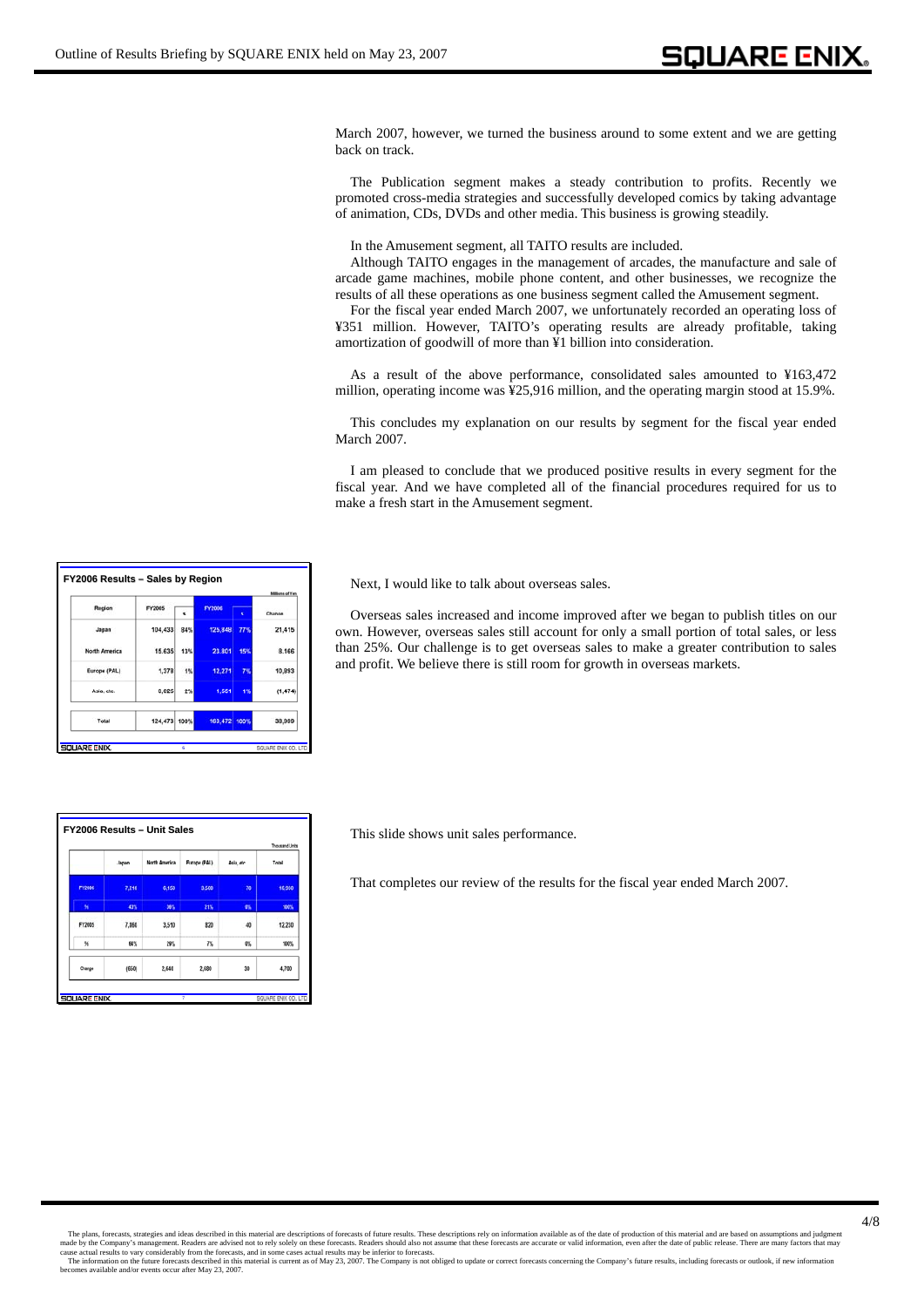March 2007, however, we turned the business around to some extent and we are getting back on track.

The Publication segment makes a steady contribution to profits. Recently we promoted cross-media strategies and successfully developed comics by taking advantage of animation, CDs, DVDs and other media. This business is growing steadily.

In the Amusement segment, all TAITO results are included.

Although TAITO engages in the management of arcades, the manufacture and sale of arcade game machines, mobile phone content, and other businesses, we recognize the results of all these operations as one business segment called the Amusement segment.

For the fiscal year ended March 2007, we unfortunately recorded an operating loss of ¥351 million. However, TAITO's operating results are already profitable, taking amortization of goodwill of more than ¥1 billion into consideration.

As a result of the above performance, consolidated sales amounted to ¥163,472 million, operating income was ¥25,916 million, and the operating margin stood at 15.9%.

This concludes my explanation on our results by segment for the fiscal year ended March 2007.

I am pleased to conclude that we produced positive results in every segment for the fiscal year. And we have completed all of the financial procedures required for us to make a fresh start in the Amusement segment.

**FY2006 Results – Sales by Region** Next, I would like to talk about overseas sales.

Overseas sales increased and income improved after we began to publish titles on our own. However, overseas sales still account for only a small portion of total sales, or less than 25%. Our challenge is to get overseas sales to make a greater contribution to sales and profit. We believe there is still room for growth in overseas markets.

|        |       |                      |              |           | <b>Thousand Units</b> |
|--------|-------|----------------------|--------------|-----------|-----------------------|
|        | Japan | <b>North America</b> | Europe (PAL) | Asia etc. | Total                 |
| FY2006 | 7,210 | 6,150                | 3,500        | 70        | 16,930                |
| ×      | 43%   | 36%                  | 21%          | 帐         | 100%                  |
| FY2005 | 7,860 | 3,510                | 820          | 40        | 12,230                |
| 56     | 64%   | 29%                  | 7%           | 以         | 100%                  |
| Change | (650) | 2,640                | 2,680        | 30        | 4,700                 |

**6**

 $2<sup>1</sup>$ 

4981  $23.8$ 

 $12.27$ 

163.472

21.415

8.166

10,89

 $(1,474)$ 

38,999

Region

**Janet** 

**North Ame** 

Asia, etc

Total

**DUARE ENIX** 

FY2005 104,433 84

> 15,635  $13<sup>h</sup>$

 $1,37$ 11

 $3.02$ 

124,473 100%

This slide shows unit sales performance.

That completes our review of the results for the fiscal year ended March 2007.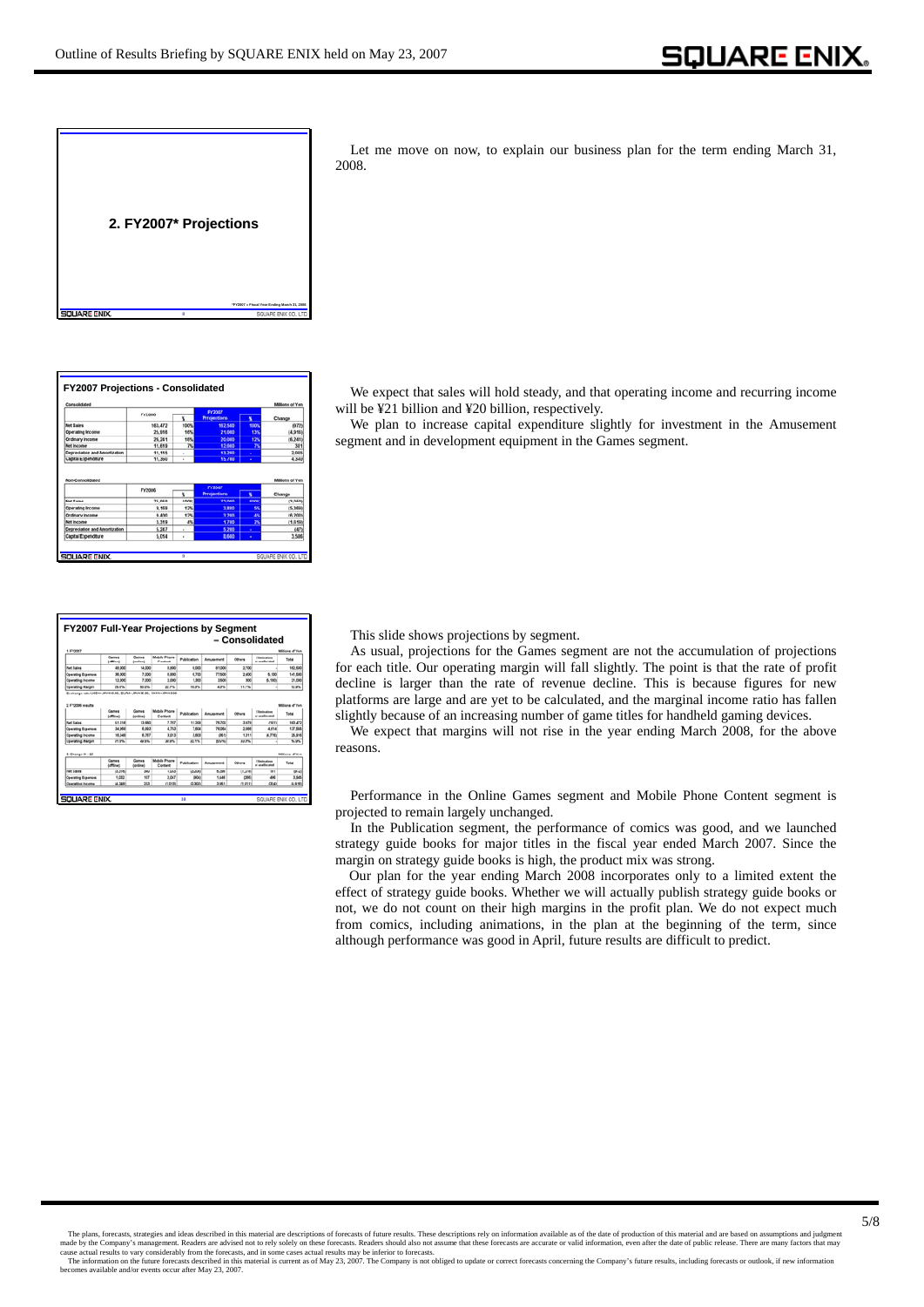| "FY2007 = Fiscal Year Ending March 31, 2008<br>я<br>SQUARE EN | 2. FY2007* Projections |  |
|---------------------------------------------------------------|------------------------|--|
|                                                               |                        |  |

| Consolidated                                                                                                                             |                |             |                     |      | <b>Millions of Yer</b>                                |
|------------------------------------------------------------------------------------------------------------------------------------------|----------------|-------------|---------------------|------|-------------------------------------------------------|
|                                                                                                                                          | <b>FY2006</b>  |             | FY2007              |      |                                                       |
|                                                                                                                                          |                | x           | <b>Prrojections</b> | ĸ    | Change                                                |
| <b>Not Bales</b>                                                                                                                         | 163,472        | 100%        | 162,500             | 100% | 19721                                                 |
| Operating Income                                                                                                                         | 25,918         | 10%         | 21.000              | 13%  | 14,9161                                               |
| Ordinary Income                                                                                                                          | 26,241         | 16%         | 20,000              | 12%  | (6.241)                                               |
| Net Income                                                                                                                               | 11.619         | 74          | 12,000              | 7k   | 381                                                   |
|                                                                                                                                          |                |             | 13,200              | ٠    | 2.085                                                 |
|                                                                                                                                          | 11.115         | ٠           |                     |      |                                                       |
| Depreciation and Amortization<br>Capital Expenditure                                                                                     | 11,360         | ٠           | 15,700              | ٠    |                                                       |
|                                                                                                                                          |                |             |                     |      |                                                       |
|                                                                                                                                          | FY2006         |             | <b>FY2007</b>       |      |                                                       |
|                                                                                                                                          |                |             | <b>Prrojections</b> | x    | Change                                                |
|                                                                                                                                          | <b>75, 655</b> | <b>SOON</b> | 22 dog              | sam  |                                                       |
|                                                                                                                                          | 9.169          | 12%         | 3,800               | \$N  | 4,340<br><b>Millions of Yen</b><br>(3.958)<br>(5,369) |
|                                                                                                                                          | 9.400          | 12%         | 3.200               | 45   |                                                       |
|                                                                                                                                          | 3,519          | 4%          | 1,700               | 2%   |                                                       |
| Non-Consolidated<br><b>Not Rates</b><br><b>Operating Income</b><br>Ordinary Income<br><b>Net income</b><br>Depreciation and Amortization | 5.247          | ٠           | 5,200               |      | (6.200)<br>(1.619)<br>(47)                            |

Let me move on now, to explain our business plan for the term ending March 31, 2008.

We expect that sales will hold steady, and that operating income and recurring income will be ¥21 billion and ¥20 billion, respectively.

We plan to increase capital expenditure slightly for investment in the Amusement segment and in development equipment in the Games segment.

| 1. FY2007                                                          |                           |                          |                                |             |                         |         |                                       | Millions of Yer        |
|--------------------------------------------------------------------|---------------------------|--------------------------|--------------------------------|-------------|-------------------------|---------|---------------------------------------|------------------------|
|                                                                    | Games<br><b>Inflicted</b> | Games<br><b>Incline!</b> | <b>Mobile Phone</b><br>Content | Publication | Amusement               | Others  | <b>Elizabethium</b><br>or analysisted | Total                  |
| <b>Not Sales</b>                                                   | 49,000                    | 14,000                   | 9,900                          | 8,000       | 91,000                  | 2,700   |                                       | 162,500                |
| <b>Operating Expenses</b>                                          | 36,000                    | 7.000                    | 4.000                          | 6.700       | 77,500                  | 2,400   | 5,100                                 | 141,500                |
| <b>Operating Income</b>                                            | 12,000                    | 7,000                    | 3,000                          | 1,300       | 3,600                   | 300     | 8.100                                 | 21,000                 |
| <b>Coerating Margin</b>                                            | <b>DS 0%</b>              | 50.0%                    | <b>33 7%</b>                   | 16.3%       | 4.3%                    | 11.1%   |                                       | 12.9%                  |
| <b>Not Sales</b>                                                   | 51,316                    | 13,660                   | 7.767                          |             | 76,353                  | 3.679   |                                       | 163,472                |
|                                                                    | <b>Miral</b>              | <b>continut</b>          | Content                        | Publication | Amusement               | Others  | ar analysistad                        | Total                  |
|                                                                    |                           |                          |                                | 11,208      |                         |         | 1980                                  |                        |
| <b>Operating Expenses</b>                                          | 34,966                    | 6,993                    | 4,763                          | 7.604       | 76.064                  | 1.666   | 4.6%                                  | 137, 566               |
|                                                                    | 16,348                    | 6.767                    | 3.013                          | 3.603       | <b>OM</b> <sub>11</sub> | 1,311   | 14,776                                | 35, 916                |
|                                                                    |                           | 49.5%                    | 39,9%                          | 22.1%       | 83,676.0                | 22.0%   |                                       | 15.9%                  |
|                                                                    | 31.9%                     |                          |                                |             |                         |         |                                       |                        |
| Operating Income<br><b>Coerating Margin</b><br>$3.$ Change $(1-2)$ |                           |                          |                                |             |                         |         |                                       |                        |
|                                                                    | Games<br><b>Mira</b> l    | Games<br>damilimed       | Mobile Phone<br>Content        | Publication | <b>Amusement</b>        | Others  | Eliminations<br>ar an allocated       | Total                  |
| hier Kales                                                         | (3.316)                   | 840                      | 1,033                          | (3,208)     | 6.266                   | (1.276) | w                                     | Militana of Yan<br>672 |
| <b>Operating Expenses</b>                                          | 1,030                     | <b>MT</b>                | 3.047                          | n/a         | 1,646                   | nee     | and                                   | 3,545                  |

This slide shows projections by segment.

As usual, projections for the Games segment are not the accumulation of projections for each title. Our operating margin will fall slightly. The point is that the rate of profit decline is larger than the rate of revenue decline. This is because figures for new platforms are large and are yet to be calculated, and the marginal income ratio has fallen slightly because of an increasing number of game titles for handheld gaming devices.

We expect that margins will not rise in the year ending March 2008, for the above reasons.

Performance in the Online Games segment and Mobile Phone Content segment is projected to remain largely unchanged.

In the Publication segment, the performance of comics was good, and we launched strategy guide books for major titles in the fiscal year ended March 2007. Since the margin on strategy guide books is high, the product mix was strong.

Our plan for the year ending March 2008 incorporates only to a limited extent the effect of strategy guide books. Whether we will actually publish strategy guide books or not, we do not count on their high margins in the profit plan. We do not expect much from comics, including animations, in the plan at the beginning of the term, since although performance was good in April, future results are difficult to predict.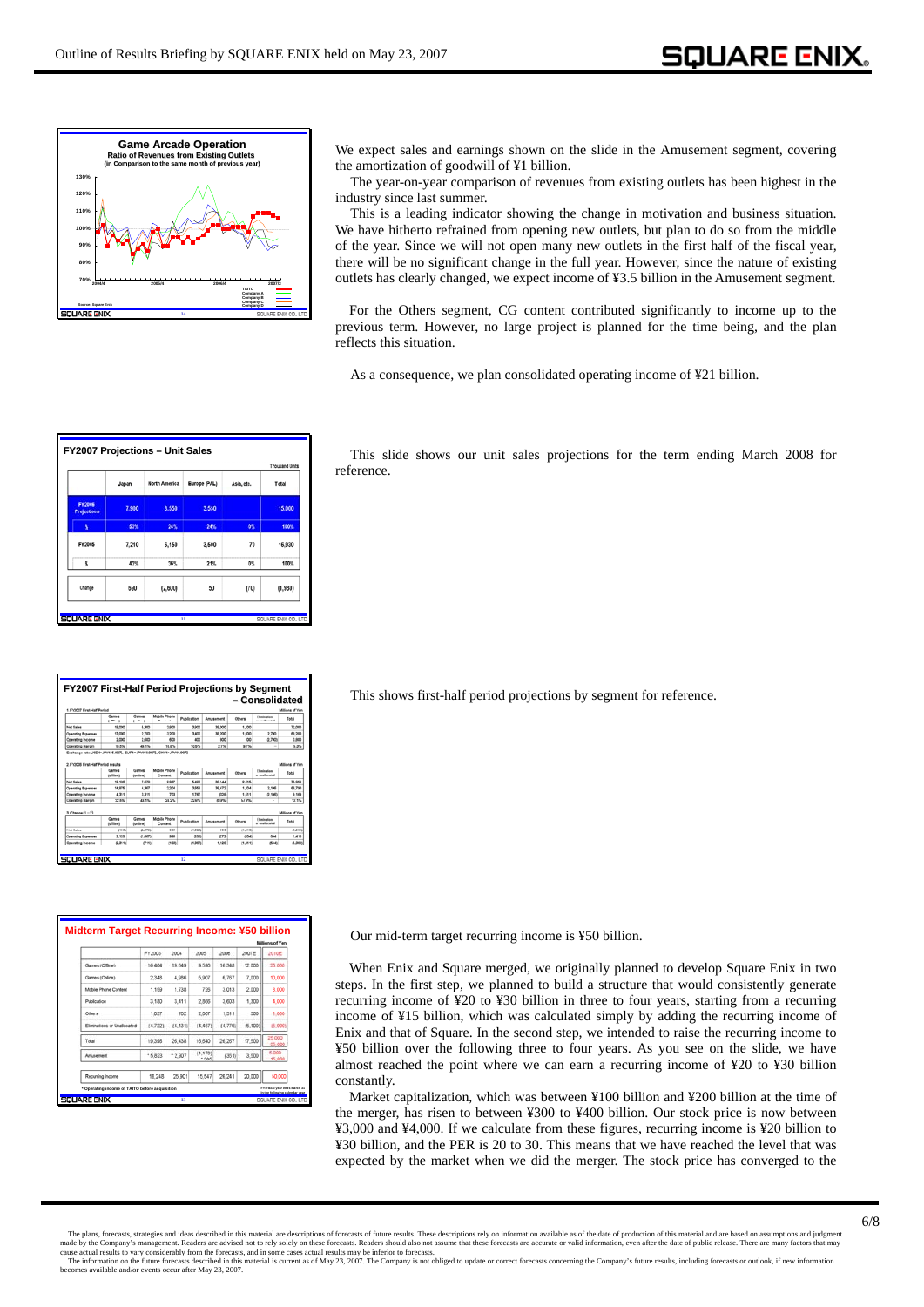

We expect sales and earnings shown on the slide in the Amusement segment, covering the amortization of goodwill of ¥1 billion.

The year-on-year comparison of revenues from existing outlets has been highest in the industry since last summer.

This is a leading indicator showing the change in motivation and business situation. We have hitherto refrained from opening new outlets, but plan to do so from the middle of the year. Since we will not open many new outlets in the first half of the fiscal year, there will be no significant change in the full year. However, since the nature of existing outlets has clearly changed, we expect income of ¥3.5 billion in the Amusement segment.

For the Others segment, CG content contributed significantly to income up to the previous term. However, no large project is planned for the time being, and the plan reflects this situation.

As a consequence, we plan consolidated operating income of ¥21 billion.

|                                     |       |               |              |            | <b>Thousand Units</b> |
|-------------------------------------|-------|---------------|--------------|------------|-----------------------|
|                                     | Japan | North America | Europe (PAL) | Asia, etc. | Total                 |
| <b>FY2006</b><br><b>Projections</b> | 7,900 | 3,550         | 3,550        |            | 15,000                |
| s                                   | 53%   | 24%           | 24%          | 0%         | 100%                  |
| FY2005                              | 7,210 | 6,150         | 3,500        | 70         | 16,930                |
| s                                   | 43%   | 36%           | 21%          | 0%         | 100%                  |
| Change                              | 690   | (2.600)       | 50           | (70)       | (1,930)               |

This slide shows our unit sales projections for the term ending March 2008 for reference.

| 1. FY2007 First Half Period                                                                         |                             |                   |                                |             |             |         |                                  | Millions of Yer                                                                         |
|-----------------------------------------------------------------------------------------------------|-----------------------------|-------------------|--------------------------------|-------------|-------------|---------|----------------------------------|-----------------------------------------------------------------------------------------|
|                                                                                                     | Camera<br><b>Infliction</b> | Games<br>Ionlinei | <b>Mobile Phone</b><br>Content | Publication | Amusement   | Others  | Electrations<br>or unaffectabled | Total                                                                                   |
| <b>Net Sales</b>                                                                                    | 19.000                      | 5,300             | 3,800                          | 3,800       | 39,000      | 1.100   |                                  | 72,000                                                                                  |
| <b>Operating Expenses</b>                                                                           | 17,000                      | 2,700             | 3,200                          | 3,400       | 30,200      | 1,000   | 2.700                            | 68,200                                                                                  |
| Operating Income                                                                                    | 2,000                       | 3,600             | 400                            | 400         | <b>ROO</b>  | 100     | 0.700                            | 3,800                                                                                   |
| <b>Operating Margin</b>                                                                             | 10.4%                       | <b>AS 1%</b>      | <b>15, 0%L</b>                 | 50.6%       | 2.7%        | 9.1%    | $\sim$                           | 5.3%                                                                                    |
|                                                                                                     |                             |                   |                                |             |             |         |                                  |                                                                                         |
|                                                                                                     | (afford)                    | Inningi           | Content                        |             |             |         |                                  |                                                                                         |
|                                                                                                     | 19.186                      | 7,679             | 3.907                          | 5,436       | 38,144      | 2.616   |                                  |                                                                                         |
|                                                                                                     | 14,876                      | 4,367             | 3,354                          | 3,658       | 39,472      | 1.904   | 2.106                            |                                                                                         |
|                                                                                                     | 4,311                       | 3.311             | rea                            | 1,767       | <b>CORE</b> | 1,611   | (2,106)                          |                                                                                         |
| <b>Net Sales</b><br><b>Operating Expenses</b><br><b>Operating Income</b><br><b>Coerating Margin</b> | 22.5%                       | 43.1%             | 34.2%                          | 22.6%       | <b>GON</b>  | \$7.9%  | $\sim$                           |                                                                                         |
|                                                                                                     |                             |                   |                                |             |             |         |                                  |                                                                                         |
|                                                                                                     | Cames<br><b>Infine</b>      | Games<br>Ioninei  | <b>Mobile Phone</b><br>Content | Publication | Anusement   | Others  | Eliminations<br>or analysisted   | Total                                                                                   |
|                                                                                                     | 2500                        | <b>Q.37%</b>      | 863                            | (9, 626)    | <b>HA</b>   | (1,616) |                                  |                                                                                         |
| $3.$ Change $(1 - 2)$<br><b>Net Sales</b><br><b>Operating Expenses</b>                              | 2.926                       | (1.687)<br>(711)  | 996                            | (250)       | (272)       | (104)   | 554                              | 75,968<br>66,790<br>9.169<br>12.1%<br><b>Millions of Yer</b><br>0.968<br>1,410<br>6,308 |

|                             | FY2003    | 2004     | 2005             | 2006    | 2007E    | 2010E              |  |
|-----------------------------|-----------|----------|------------------|---------|----------|--------------------|--|
| Games (Offine)              | 16.404    | 19,649   | 9.590            | 16,348  | 12,000   | 20,000             |  |
| Games (Online)              | 2.348     | 4.986    | 5.907            | 6.767   | 7.000    | 10.000             |  |
| Mobile Phone Content        | 1.159     | 1,738    | 726              | 3.013   | 2.000    | 3.000              |  |
| <b>Publication</b>          | 3.180     | 3.411    | 2.866            | 3.603   | 1.300    | 4.000              |  |
| <b>Others</b>               | 1.027     | 782      | 2.007            | 1.311   | 300      | 1.000              |  |
| Eliminations or Unallocated | (4.722)   | (4, 131) | (4.457)          | (4.776) | (5, 100) | (5,000             |  |
| Trifal                      | 19,398    | 26.438   | 16,640           | 26, 267 | 17,500   | 25,000<br>35,000   |  |
| <b>Anuxement</b>            | $+ 5.823$ | $*2.907$ | (1, 170)<br>1905 | (351)   | 3,500    | 5.000<br>$-16,000$ |  |
| Recurring Income            | 18.248    | 25,901   | 15.547           | 26.241  | 20,000   | 50,000             |  |

This shows first-half period projections by segment for reference.

Our mid-term target recurring income is ¥50 billion.

When Enix and Square merged, we originally planned to develop Square Enix in two steps. In the first step, we planned to build a structure that would consistently generate recurring income of ¥20 to ¥30 billion in three to four years, starting from a recurring income of ¥15 billion, which was calculated simply by adding the recurring income of Enix and that of Square. In the second step, we intended to raise the recurring income to ¥50 billion over the following three to four years. As you see on the slide, we have almost reached the point where we can earn a recurring income of ¥20 to ¥30 billion constantly.

Market capitalization, which was between ¥100 billion and ¥200 billion at the time of the merger, has risen to between ¥300 to ¥400 billion. Our stock price is now between ¥3,000 and ¥4,000. If we calculate from these figures, recurring income is ¥20 billion to ¥30 billion, and the PER is 20 to 30. This means that we have reached the level that was expected by the market when we did the merger. The stock price has converged to the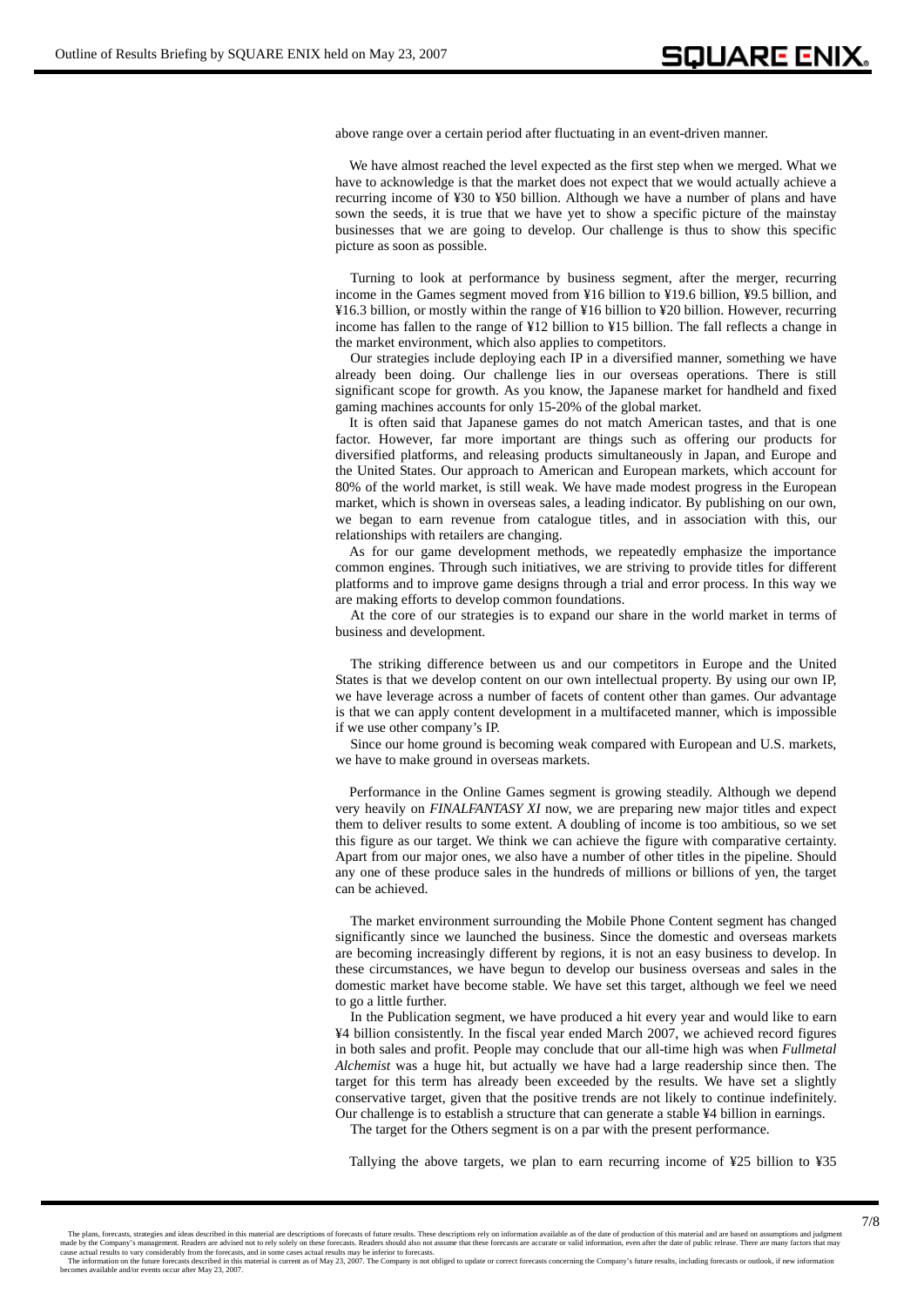above range over a certain period after fluctuating in an event-driven manner.

We have almost reached the level expected as the first step when we merged. What we have to acknowledge is that the market does not expect that we would actually achieve a recurring income of ¥30 to ¥50 billion. Although we have a number of plans and have sown the seeds, it is true that we have yet to show a specific picture of the mainstay businesses that we are going to develop. Our challenge is thus to show this specific picture as soon as possible.

Turning to look at performance by business segment, after the merger, recurring income in the Games segment moved from ¥16 billion to ¥19.6 billion, ¥9.5 billion, and ¥16.3 billion, or mostly within the range of ¥16 billion to ¥20 billion. However, recurring income has fallen to the range of ¥12 billion to ¥15 billion. The fall reflects a change in the market environment, which also applies to competitors.

Our strategies include deploying each IP in a diversified manner, something we have already been doing. Our challenge lies in our overseas operations. There is still significant scope for growth. As you know, the Japanese market for handheld and fixed gaming machines accounts for only 15-20% of the global market.

It is often said that Japanese games do not match American tastes, and that is one factor. However, far more important are things such as offering our products for diversified platforms, and releasing products simultaneously in Japan, and Europe and the United States. Our approach to American and European markets, which account for 80% of the world market, is still weak. We have made modest progress in the European market, which is shown in overseas sales, a leading indicator. By publishing on our own, we began to earn revenue from catalogue titles, and in association with this, our relationships with retailers are changing.

As for our game development methods, we repeatedly emphasize the importance common engines. Through such initiatives, we are striving to provide titles for different platforms and to improve game designs through a trial and error process. In this way we are making efforts to develop common foundations.

At the core of our strategies is to expand our share in the world market in terms of business and development.

The striking difference between us and our competitors in Europe and the United States is that we develop content on our own intellectual property. By using our own IP, we have leverage across a number of facets of content other than games. Our advantage is that we can apply content development in a multifaceted manner, which is impossible if we use other company's IP.

Since our home ground is becoming weak compared with European and U.S. markets, we have to make ground in overseas markets.

Performance in the Online Games segment is growing steadily. Although we depend very heavily on *FINALFANTASY XI* now, we are preparing new major titles and expect them to deliver results to some extent. A doubling of income is too ambitious, so we set this figure as our target. We think we can achieve the figure with comparative certainty. Apart from our major ones, we also have a number of other titles in the pipeline. Should any one of these produce sales in the hundreds of millions or billions of yen, the target can be achieved.

The market environment surrounding the Mobile Phone Content segment has changed significantly since we launched the business. Since the domestic and overseas markets are becoming increasingly different by regions, it is not an easy business to develop. In these circumstances, we have begun to develop our business overseas and sales in the domestic market have become stable. We have set this target, although we feel we need to go a little further.

In the Publication segment, we have produced a hit every year and would like to earn ¥4 billion consistently. In the fiscal year ended March 2007, we achieved record figures in both sales and profit. People may conclude that our all-time high was when *Fullmetal Alchemist* was a huge hit, but actually we have had a large readership since then. The target for this term has already been exceeded by the results. We have set a slightly conservative target, given that the positive trends are not likely to continue indefinitely. Our challenge is to establish a structure that can generate a stable ¥4 billion in earnings.

The target for the Others segment is on a par with the present performance.

Tallying the above targets, we plan to earn recurring income of ¥25 billion to ¥35